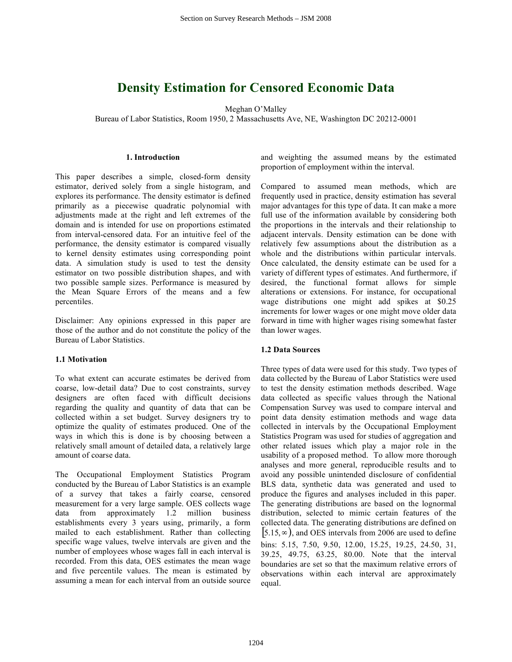# **Density Estimation for Censored Economic Data**

Meghan O'Malley

Bureau of Labor Statistics, Room 1950, 2 Massachusetts Ave, NE, Washington DC 20212-0001

## **1. Introduction**

This paper describes a simple, closed-form density estimator, derived solely from a single histogram, and explores its performance. The density estimator is defined primarily as a piecewise quadratic polynomial with adjustments made at the right and left extremes of the domain and is intended for use on proportions estimated from interval-censored data. For an intuitive feel of the performance, the density estimator is compared visually to kernel density estimates using corresponding point data. A simulation study is used to test the density estimator on two possible distribution shapes, and with two possible sample sizes. Performance is measured by the Mean Square Errors of the means and a few percentiles.

Disclaimer: Any opinions expressed in this paper are those of the author and do not constitute the policy of the Bureau of Labor Statistics.

# **1.1 Motivation**

To what extent can accurate estimates be derived from coarse, low-detail data? Due to cost constraints, survey designers are often faced with difficult decisions regarding the quality and quantity of data that can be collected within a set budget. Survey designers try to optimize the quality of estimates produced. One of the ways in which this is done is by choosing between a relatively small amount of detailed data, a relatively large amount of coarse data.

The Occupational Employment Statistics Program conducted by the Bureau of Labor Statistics is an example of a survey that takes a fairly coarse, censored measurement for a very large sample. OES collects wage data from approximately 1.2 million business establishments every 3 years using, primarily, a form mailed to each establishment. Rather than collecting specific wage values, twelve intervals are given and the number of employees whose wages fall in each interval is recorded. From this data, OES estimates the mean wage and five percentile values. The mean is estimated by assuming a mean for each interval from an outside source

and weighting the assumed means by the estimated proportion of employment within the interval.

Compared to assumed mean methods, which are frequently used in practice, density estimation has several major advantages for this type of data. It can make a more full use of the information available by considering both the proportions in the intervals and their relationship to adjacent intervals. Density estimation can be done with relatively few assumptions about the distribution as a whole and the distributions within particular intervals. Once calculated, the density estimate can be used for a variety of different types of estimates. And furthermore, if desired, the functional format allows for simple alterations or extensions. For instance, for occupational wage distributions one might add spikes at \$0.25 increments for lower wages or one might move older data forward in time with higher wages rising somewhat faster than lower wages.

# **1.2 Data Sources**

Three types of data were used for this study. Two types of data collected by the Bureau of Labor Statistics were used to test the density estimation methods described. Wage data collected as specific values through the National Compensation Survey was used to compare interval and point data density estimation methods and wage data collected in intervals by the Occupational Employment Statistics Program was used for studies of aggregation and other related issues which play a major role in the usability of a proposed method. To allow more thorough analyses and more general, reproducible results and to avoid any possible unintended disclosure of confidential BLS data, synthetic data was generated and used to produce the figures and analyses included in this paper. The generating distributions are based on the lognormal distribution, selected to mimic certain features of the collected data. The generating distributions are defined on  $[5.15, \infty)$ , and OES intervals from 2006 are used to define bins: 5.15, 7.50, 9.50, 12.00, 15.25, 19.25, 24.50, 31, 39.25, 49.75, 63.25, 80.00. Note that the interval boundaries are set so that the maximum relative errors of observations within each interval are approximately equal.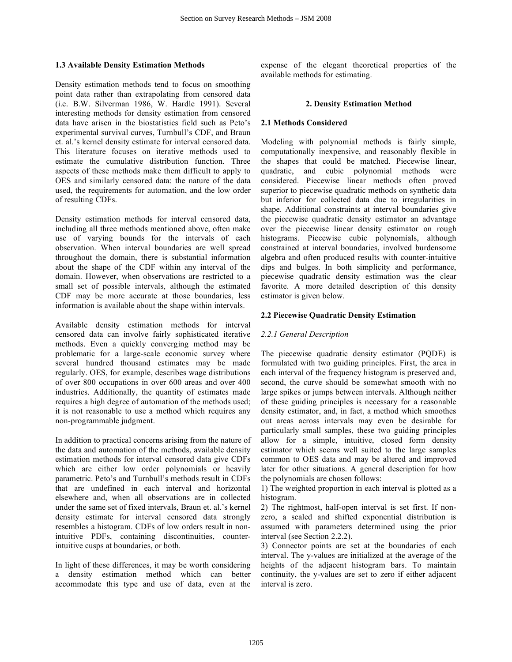#### **1.3 Available Density Estimation Methods**

Density estimation methods tend to focus on smoothing point data rather than extrapolating from censored data (i.e. B.W. Silverman 1986, W. Hardle 1991). Several interesting methods for density estimation from censored data have arisen in the biostatistics field such as Peto's experimental survival curves, Turnbull's CDF, and Braun et. al.'s kernel density estimate for interval censored data. This literature focuses on iterative methods used to estimate the cumulative distribution function. Three aspects of these methods make them difficult to apply to OES and similarly censored data: the nature of the data used, the requirements for automation, and the low order of resulting CDFs.

Density estimation methods for interval censored data, including all three methods mentioned above, often make use of varying bounds for the intervals of each observation. When interval boundaries are well spread throughout the domain, there is substantial information about the shape of the CDF within any interval of the domain. However, when observations are restricted to a small set of possible intervals, although the estimated CDF may be more accurate at those boundaries, less information is available about the shape within intervals.

Available density estimation methods for interval censored data can involve fairly sophisticated iterative methods. Even a quickly converging method may be problematic for a large-scale economic survey where several hundred thousand estimates may be made regularly. OES, for example, describes wage distributions of over 800 occupations in over 600 areas and over 400 industries. Additionally, the quantity of estimates made requires a high degree of automation of the methods used; it is not reasonable to use a method which requires any non-programmable judgment.

In addition to practical concerns arising from the nature of the data and automation of the methods, available density estimation methods for interval censored data give CDFs which are either low order polynomials or heavily parametric. Peto's and Turnbull's methods result in CDFs that are undefined in each interval and horizontal elsewhere and, when all observations are in collected under the same set of fixed intervals, Braun et. al.'s kernel density estimate for interval censored data strongly resembles a histogram. CDFs of low orders result in nonintuitive PDFs, containing discontinuities, counterintuitive cusps at boundaries, or both.

In light of these differences, it may be worth considering a density estimation method which can better accommodate this type and use of data, even at the expense of the elegant theoretical properties of the available methods for estimating.

#### **2. Density Estimation Method**

## **2.1 Methods Considered**

Modeling with polynomial methods is fairly simple, computationally inexpensive, and reasonably flexible in the shapes that could be matched. Piecewise linear, quadratic, and cubic polynomial methods were considered. Piecewise linear methods often proved superior to piecewise quadratic methods on synthetic data but inferior for collected data due to irregularities in shape. Additional constraints at interval boundaries give the piecewise quadratic density estimator an advantage over the piecewise linear density estimator on rough histograms. Piecewise cubic polynomials, although constrained at interval boundaries, involved burdensome algebra and often produced results with counter-intuitive dips and bulges. In both simplicity and performance, piecewise quadratic density estimation was the clear favorite. A more detailed description of this density estimator is given below.

# **2.2 Piecewise Quadratic Density Estimation**

## *2.2.1 General Description*

The piecewise quadratic density estimator (PQDE) is formulated with two guiding principles. First, the area in each interval of the frequency histogram is preserved and, second, the curve should be somewhat smooth with no large spikes or jumps between intervals. Although neither of these guiding principles is necessary for a reasonable density estimator, and, in fact, a method which smoothes out areas across intervals may even be desirable for particularly small samples, these two guiding principles allow for a simple, intuitive, closed form density estimator which seems well suited to the large samples common to OES data and may be altered and improved later for other situations. A general description for how the polynomials are chosen follows:

1) The weighted proportion in each interval is plotted as a histogram.

2) The rightmost, half-open interval is set first. If nonzero, a scaled and shifted exponential distribution is assumed with parameters determined using the prior interval (see Section 2.2.2).

3) Connector points are set at the boundaries of each interval. The y-values are initialized at the average of the heights of the adjacent histogram bars. To maintain continuity, the y-values are set to zero if either adjacent interval is zero.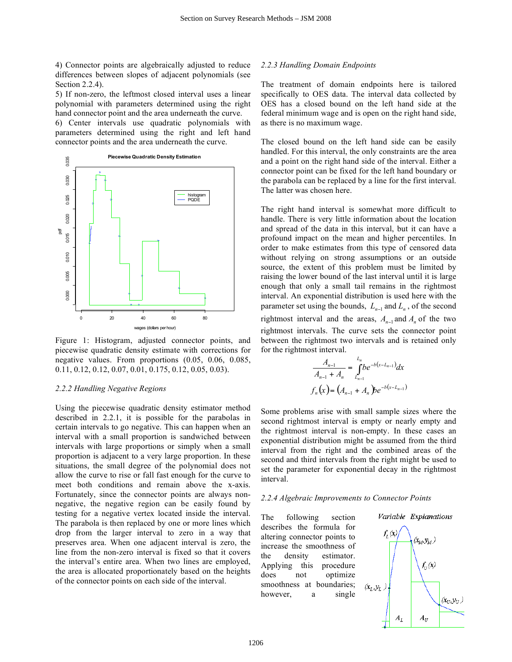4) Connector points are algebraically adjusted to reduce differences between slopes of adjacent polynomials (see Section 2.2.4).

5) If non-zero, the leftmost closed interval uses a linear polynomial with parameters determined using the right hand connector point and the area underneath the curve.

6) Center intervals use quadratic polynomials with parameters determined using the right and left hand connector points and the area underneath the curve.



Figure 1: Histogram, adjusted connector points, and piecewise quadratic density estimate with corrections for negative values. From proportions (0.05, 0.06, 0.085, 0.11, 0.12, 0.12, 0.07, 0.01, 0.175, 0.12, 0.05, 0.03).

#### *2.2.2 Handling Negative Regions*

Using the piecewise quadratic density estimator method described in 2.2.1, it is possible for the parabolas in certain intervals to go negative. This can happen when an interval with a small proportion is sandwiched between intervals with large proportions or simply when a small proportion is adjacent to a very large proportion. In these situations, the small degree of the polynomial does not allow the curve to rise or fall fast enough for the curve to meet both conditions and remain above the x-axis. Fortunately, since the connector points are always nonnegative, the negative region can be easily found by testing for a negative vertex located inside the interval. The parabola is then replaced by one or more lines which drop from the larger interval to zero in a way that preserves area. When one adjacent interval is zero, the line from the non-zero interval is fixed so that it covers the interval's entire area. When two lines are employed, the area is allocated proportionately based on the heights of the connector points on each side of the interval.

# *2.2.3 Handling Domain Endpoints*

The treatment of domain endpoints here is tailored specifically to OES data. The interval data collected by OES has a closed bound on the left hand side at the federal minimum wage and is open on the right hand side, as there is no maximum wage.

The closed bound on the left hand side can be easily handled. For this interval, the only constraints are the area and a point on the right hand side of the interval. Either a connector point can be fixed for the left hand boundary or the parabola can be replaced by a line for the first interval. The latter was chosen here.

The right hand interval is somewhat more difficult to handle. There is very little information about the location and spread of the data in this interval, but it can have a profound impact on the mean and higher percentiles. In order to make estimates from this type of censored data without relying on strong assumptions or an outside source, the extent of this problem must be limited by raising the lower bound of the last interval until it is large enough that only a small tail remains in the rightmost interval. An exponential distribution is used here with the parameter set using the bounds,  $L_{n-1}$  and  $L_n$ , of the second rightmost interval and the areas,  $A_{n-1}$  and  $A_n$  of the two rightmost intervals. The curve sets the connector point between the rightmost two intervals and is retained only for the rightmost interval.

$$
\frac{A_{n-1}}{A_{n-1} + A_n} = \int_{L_{n-1}}^{L_n} be^{-b(x - L_{n-1})} dx
$$
  

$$
f_n(x) = (A_{n-1} + A_n) be^{-b(x - L_{n-1})}
$$

Some problems arise with small sample sizes where the second rightmost interval is empty or nearly empty and the rightmost interval is non-empty. In these cases an exponential distribution might be assumed from the third interval from the right and the combined areas of the second and third intervals from the right might be used to set the parameter for exponential decay in the rightmost interval.

#### *2.2.4 Algebraic Improvements to Connector Points*

The following section describes the formula for altering connector points to increase the smoothness of the density estimator. Applying this procedure does not optimize smoothness at boundaries; however, a single

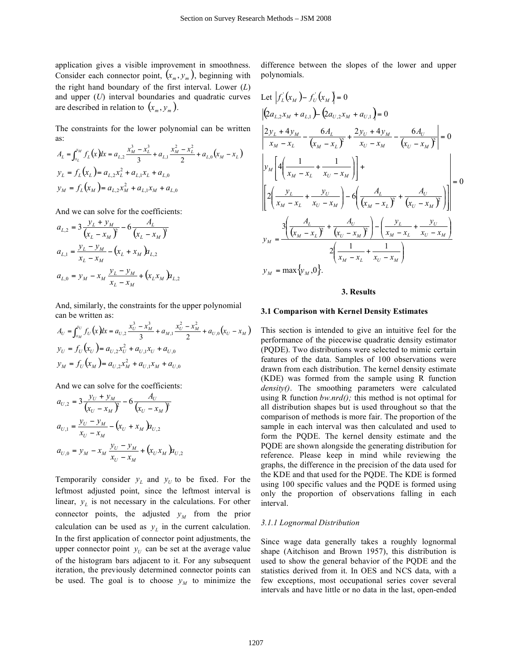application gives a visible improvement in smoothness. Consider each connector point,  $(x_m, y_m)$ , beginning with the right hand boundary of the first interval. Lower (*L*) and upper (*U*) interval boundaries and quadratic curves are described in relation to  $(x_m, y_m)$ .

The constraints for the lower polynomial can be written as:

$$
A_L = \int_{x_L}^{x_M} f_L(x) dx = a_{L,2} \frac{x_M^3 - x_L^3}{3} + a_{L,1} \frac{x_M^2 - x_L^2}{2} + a_{L,0} (x_M - x_L)
$$
  

$$
y_L = f_L(x_L) = a_{L,2} x_L^2 + a_{L,1} x_L + a_{L,0}
$$
  

$$
y_M = f_L(x_M) = a_{L,2} x_M^2 + a_{L,1} x_M + a_{L,0}
$$

And we can solve for the coefficients:

$$
a_{L,2} = 3 \frac{y_L + y_M}{(x_L - x_M)^2} - 6 \frac{A_L}{(x_L - x_M)^3}
$$
  
\n
$$
a_{L,1} = \frac{y_L - y_M}{x_L - x_M} - (x_L + x_M) a_{L,2}
$$
  
\n
$$
a_{L,0} = y_M - x_M \frac{y_L - y_M}{x_L - x_M} + (x_L x_M) a_{L,2}
$$

And, similarly, the constraints for the upper polynomial can be written as:

$$
A_U = \int_{x_M}^{x_U} f_U(\mathbf{x}) dx = a_{U,2} \frac{x_U^3 - x_M^3}{3} + a_{M,1} \frac{x_U^2 - x_M^2}{2} + a_{U,0} (x_U - x_M)
$$
  
\n
$$
y_U = f_U(x_U) = a_{U,2} x_U^2 + a_{U,1} x_U + a_{U,0}
$$
  
\n
$$
y_M = f_U(x_M) = a_{U,2} x_M^2 + a_{U,1} x_M + a_{U,0}
$$

And we can solve for the coefficients:

$$
a_{U,2} = 3 \frac{y_U + y_M}{(x_U - x_M)^2} - 6 \frac{A_U}{(x_U - x_M)^3}
$$
  
\n
$$
a_{U,1} = \frac{y_U - y_M}{x_U - x_M} - (x_U + x_M) a_{U,2}
$$
  
\n
$$
a_{U,0} = y_M - x_M \frac{y_U - y_M}{x_U - x_M} + (x_U x_M) a_{U,2}
$$

Temporarily consider  $y_L$  and  $y_U$  to be fixed. For the leftmost adjusted point, since the leftmost interval is linear,  $y_L$  is not necessary in the calculations. For other connector points, the adjusted  $y_M$  from the prior calculation can be used as  $y_L$  in the current calculation. In the first application of connector point adjustments, the upper connector point  $y_U$  can be set at the average value of the histogram bars adjacent to it. For any subsequent iteration, the previously determined connector points can be used. The goal is to choose  $y<sub>M</sub>$  to minimize the

difference between the slopes of the lower and upper polynomials.

Let 
$$
\left| f_L(x_M) - f_U(x_M) \right| = 0
$$
  
\n
$$
\left| (2a_{L,2}x_M + a_{L,1}) - (2a_{U,2}x_M + a_{U,1}) \right| = 0
$$
  
\n
$$
\left| \frac{2y_L + 4y_M}{x_M - x_L} - \frac{6A_L}{(x_M - x_L)^2} + \frac{2y_U + 4y_M}{x_U - x_M} - \frac{6A_U}{(x_U - x_M)^2} \right| = 0
$$
  
\n
$$
\left| y_M \left[ 4\left( \frac{1}{x_M - x_L} + \frac{1}{x_U - x_M} \right) \right] + \left| \frac{2\left( \frac{y_L}{x_M - x_L} + \frac{y_U}{x_U - x_M} \right) - 6\left( \frac{A_L}{(x_M - x_L)^2} + \frac{A_U}{(x_U - x_M)^2} \right) \right| \right| = 0
$$
  
\n
$$
y_M = \frac{3\left( \frac{A_L}{(x_M - x_L)^2} + \frac{A_U}{(x_U - x_M)^2} \right) - \left( \frac{y_L}{x_M - x_L} + \frac{y_U}{x_U - x_M} \right)}{2\left( \frac{1}{x_M - x_L} + \frac{1}{x_U - x_M} \right)}
$$
  
\n
$$
y_M = \max \{ y_M, 0 \}.
$$

#### **3. Results**

# **3.1 Comparison with Kernel Density Estimates**

This section is intended to give an intuitive feel for the performance of the piecewise quadratic density estimator (PQDE). Two distributions were selected to mimic certain features of the data. Samples of 100 observations were drawn from each distribution. The kernel density estimate (KDE) was formed from the sample using R function *density()*. The smoothing parameters were calculated using R function *bw.nrd();* this method is not optimal for all distribution shapes but is used throughout so that the comparison of methods is more fair. The proportion of the sample in each interval was then calculated and used to form the PQDE. The kernel density estimate and the PQDE are shown alongside the generating distribution for reference. Please keep in mind while reviewing the graphs, the difference in the precision of the data used for the KDE and that used for the PQDE. The KDE is formed using 100 specific values and the PQDE is formed using only the proportion of observations falling in each interval.

#### *3.1.1 Lognormal Distribution*

Since wage data generally takes a roughly lognormal shape (Aitchison and Brown 1957), this distribution is used to show the general behavior of the PQDE and the statistics derived from it. In OES and NCS data, with a few exceptions, most occupational series cover several intervals and have little or no data in the last, open-ended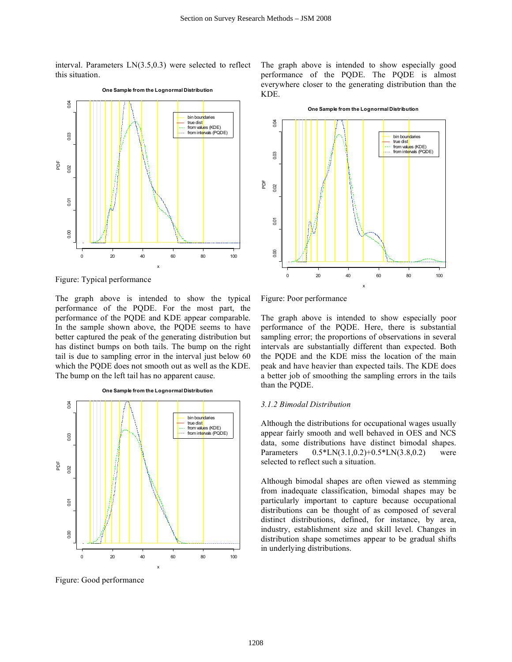interval. Parameters LN(3.5,0.3) were selected to reflect this situation.



Figure: Typical performance

The graph above is intended to show the typical performance of the PQDE. For the most part, the performance of the PQDE and KDE appear comparable. In the sample shown above, the PQDE seems to have better captured the peak of the generating distribution but has distinct bumps on both tails. The bump on the right tail is due to sampling error in the interval just below 60 which the PQDE does not smooth out as well as the KDE. The bump on the left tail has no apparent cause.



Figure: Good performance

The graph above is intended to show especially good performance of the PQDE. The PQDE is almost everywhere closer to the generating distribution than the KDE.



**One Sample from the Lognormal Distribution**



The graph above is intended to show especially poor performance of the PQDE. Here, there is substantial sampling error; the proportions of observations in several intervals are substantially different than expected. Both the PQDE and the KDE miss the location of the main peak and have heavier than expected tails. The KDE does a better job of smoothing the sampling errors in the tails than the PQDE.

# *3.1.2 Bimodal Distribution*

Although the distributions for occupational wages usually appear fairly smooth and well behaved in OES and NCS data, some distributions have distinct bimodal shapes. Parameters 0.5\*LN(3.1,0.2)+0.5\*LN(3.8,0.2) were selected to reflect such a situation.

Although bimodal shapes are often viewed as stemming from inadequate classification, bimodal shapes may be particularly important to capture because occupational distributions can be thought of as composed of several distinct distributions, defined, for instance, by area, industry, establishment size and skill level. Changes in distribution shape sometimes appear to be gradual shifts in underlying distributions.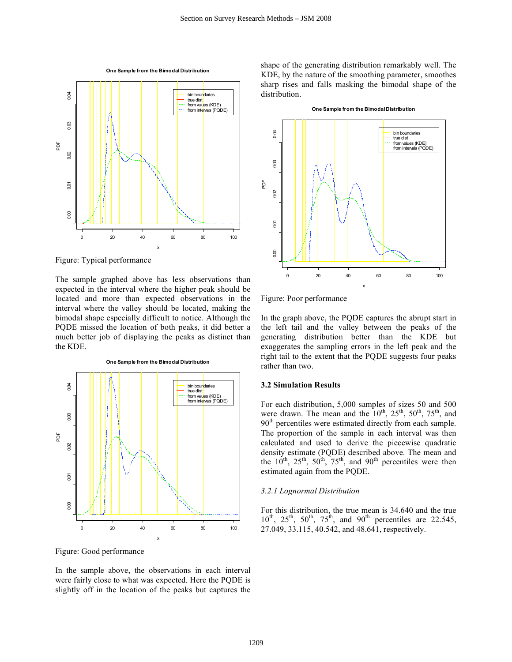

Figure: Typical performance

The sample graphed above has less observations than expected in the interval where the higher peak should be located and more than expected observations in the interval where the valley should be located, making the bimodal shape especially difficult to notice. Although the PQDE missed the location of both peaks, it did better a much better job of displaying the peaks as distinct than the KDE.



Figure: Good performance

In the sample above, the observations in each interval were fairly close to what was expected. Here the PQDE is slightly off in the location of the peaks but captures the shape of the generating distribution remarkably well. The KDE, by the nature of the smoothing parameter, smoothes sharp rises and falls masking the bimodal shape of the distribution.



**One Sample from the Bimodal Distribution**

Figure: Poor performance

In the graph above, the PQDE captures the abrupt start in the left tail and the valley between the peaks of the generating distribution better than the KDE but exaggerates the sampling errors in the left peak and the right tail to the extent that the PQDE suggests four peaks rather than two.

# **3.2 Simulation Results**

For each distribution, 5,000 samples of sizes 50 and 500 were drawn. The mean and the  $10^{th}$ ,  $25^{th}$ ,  $50^{th}$ ,  $75^{th}$ , and 90<sup>th</sup> percentiles were estimated directly from each sample. The proportion of the sample in each interval was then calculated and used to derive the piecewise quadratic density estimate (PQDE) described above. The mean and the  $10^{th}$ ,  $25^{th}$ ,  $50^{th}$ ,  $75^{th}$ , and  $90^{th}$  percentiles were then estimated again from the PQDE.

#### *3.2.1 Lognormal Distribution*

For this distribution, the true mean is 34.640 and the true  $10^{th}$ ,  $25^{th}$ ,  $50^{th}$ ,  $75^{th}$ , and  $90^{th}$  percentiles are 22.545, 27.049, 33.115, 40.542, and 48.641, respectively.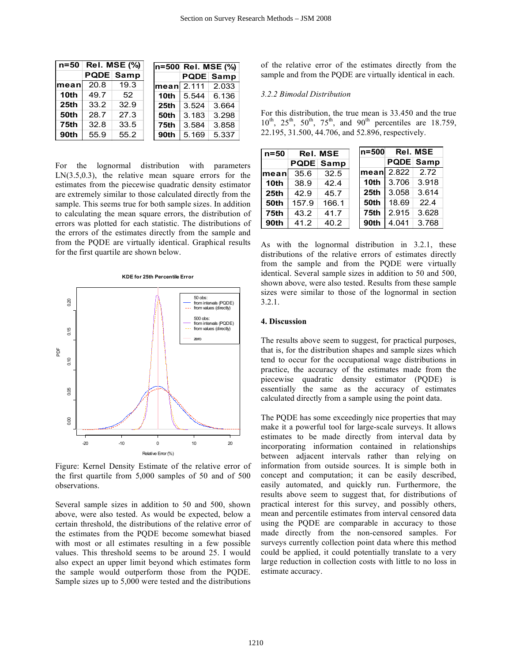| n=50   | <b>Rel. MSE (%)</b> |                  |                    | In=500 Rel. MSE (%) |                  |
|--------|---------------------|------------------|--------------------|---------------------|------------------|
|        |                     | <b>PQDE</b> Samp |                    |                     | <b>PQDE Samp</b> |
| lmeanl | 20.8                | 19.3             | $l$ mean $l$ 2.111 |                     | 2.033            |
| 10th   | 49.7                | 52               | 10th               | 5.544               | 6.136            |
| 25th   | 33.2                | 32.9             | 25th               | 3.524               | 3.664            |
| 50th   | 28.7                | 27.3             | 50th               | 3.183               | 3.298            |
| 75th   | 32.8                | 33.5             | 75th               | 3.584               | 3.858            |
| 90th   | 55.9                | 55.2             | 90th               | 5.169               | 5.337            |

For the lognormal distribution with parameters  $LN(3.5,0.3)$ , the relative mean square errors for the estimates from the piecewise quadratic density estimator are extremely similar to those calculated directly from the sample. This seems true for both sample sizes. In addition to calculating the mean square errors, the distribution of errors was plotted for each statistic. The distributions of the errors of the estimates directly from the sample and from the PQDE are virtually identical. Graphical results for the first quartile are shown below.



Figure: Kernel Density Estimate of the relative error of the first quartile from 5,000 samples of 50 and of 500 observations.

Several sample sizes in addition to 50 and 500, shown above, were also tested. As would be expected, below a certain threshold, the distributions of the relative error of the estimates from the PQDE become somewhat biased with most or all estimates resulting in a few possible values. This threshold seems to be around 25. I would also expect an upper limit beyond which estimates form the sample would outperform those from the PQDE. Sample sizes up to 5,000 were tested and the distributions

of the relative error of the estimates directly from the sample and from the PQDE are virtually identical in each.

#### *3.2.2 Bimodal Distribution*

For this distribution, the true mean is 33.450 and the true  $10^{th}$ ,  $25^{th}$ ,  $50^{th}$ ,  $75^{th}$ , and  $90^{th}$  percentiles are 18.759, 22.195, 31.500, 44.706, and 52.896, respectively.

| n=50             |       | <b>Rel. MSE</b>  | $ln=500$         | <b>Rel. MSE</b> |                  |  |
|------------------|-------|------------------|------------------|-----------------|------------------|--|
|                  |       | <b>PQDE Samp</b> |                  |                 | <b>PQDE Samp</b> |  |
| lmeanl           | 35.6  | 32.5             | mean 2.822       |                 | 2.72             |  |
| 10th             | 38.9  | 42.4             | 10th             | 3.706           | 3.918            |  |
| 25 <sub>th</sub> | 42.9  | 45.7             | 25 <sub>th</sub> | 3.058           | 3.614            |  |
| 50th             | 157.9 | 166.1            | 50th             | 18.69           | 22.4             |  |
| 75th             | 43.2  | 41.7             | 75th             | 2.915           | 3.628            |  |
| 90th             | 41.2  | 40.2             | 90th             | 4.041           | 3.768            |  |

As with the lognormal distribution in 3.2.1, these distributions of the relative errors of estimates directly from the sample and from the PQDE were virtually identical. Several sample sizes in addition to 50 and 500, shown above, were also tested. Results from these sample sizes were similar to those of the lognormal in section 3.2.1.

#### **4. Discussion**

The results above seem to suggest, for practical purposes, that is, for the distribution shapes and sample sizes which tend to occur for the occupational wage distributions in practice, the accuracy of the estimates made from the piecewise quadratic density estimator (PQDE) is essentially the same as the accuracy of estimates calculated directly from a sample using the point data.

The PQDE has some exceedingly nice properties that may make it a powerful tool for large-scale surveys. It allows estimates to be made directly from interval data by incorporating information contained in relationships between adjacent intervals rather than relying on information from outside sources. It is simple both in concept and computation; it can be easily described, easily automated, and quickly run. Furthermore, the results above seem to suggest that, for distributions of practical interest for this survey, and possibly others, mean and percentile estimates from interval censored data using the PQDE are comparable in accuracy to those made directly from the non-censored samples. For surveys currently collection point data where this method could be applied, it could potentially translate to a very large reduction in collection costs with little to no loss in estimate accuracy.